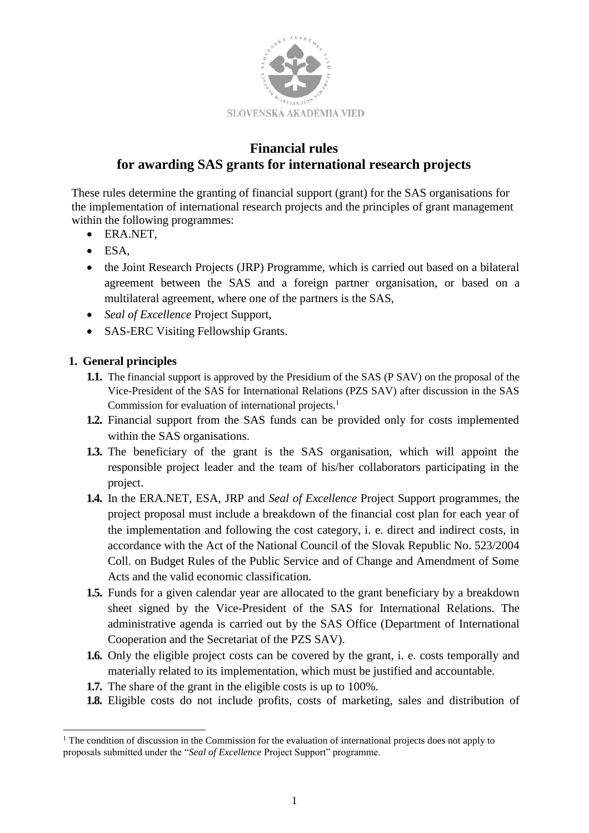

# **Financial rules for awarding SAS grants for international research projects**

These rules determine the granting of financial support (grant) for the SAS organisations for the implementation of international research projects and the principles of grant management within the following programmes:

- ERA.NET,
- ESA,
- the Joint Research Projects (JRP) Programme, which is carried out based on a bilateral agreement between the SAS and a foreign partner organisation, or based on a multilateral agreement, where one of the partners is the SAS,
- *Seal of Excellence* Project Support,
- SAS-ERC Visiting Fellowship Grants.

# **1. General principles**

l

- **1.1.** The financial support is approved by the Presidium of the SAS (P SAV) on the proposal of the Vice-President of the SAS for International Relations (PZS SAV) after discussion in the SAS Commission for evaluation of international projects.<sup>1</sup>
- **1.2.** Financial support from the SAS funds can be provided only for costs implemented within the SAS organisations.
- **1.3.** The beneficiary of the grant is the SAS organisation, which will appoint the responsible project leader and the team of his/her collaborators participating in the project.
- **1.4.** In the ERA.NET, ESA, JRP and *Seal of Excellence* Project Support programmes, the project proposal must include a breakdown of the financial cost plan for each year of the implementation and following the cost category, i. e. direct and indirect costs, in accordance with the Act of the National Council of the Slovak Republic No. 523/2004 Coll. on Budget Rules of the Public Service and of Change and Amendment of Some Acts and the valid economic classification.
- **1.5.** Funds for a given calendar year are allocated to the grant beneficiary by a breakdown sheet signed by the Vice-President of the SAS for International Relations. The administrative agenda is carried out by the SAS Office (Department of International Cooperation and the Secretariat of the PZS SAV).
- **1.6.** Only the eligible project costs can be covered by the grant, i. e. costs temporally and materially related to its implementation, which must be justified and accountable.
- **1.7.** The share of the grant in the eligible costs is up to 100%.
- **1.8.** Eligible costs do not include profits, costs of marketing, sales and distribution of

<sup>&</sup>lt;sup>1</sup> The condition of discussion in the Commission for the evaluation of international projects does not apply to proposals submitted under the "*Seal of Excellence* Project Support" programme.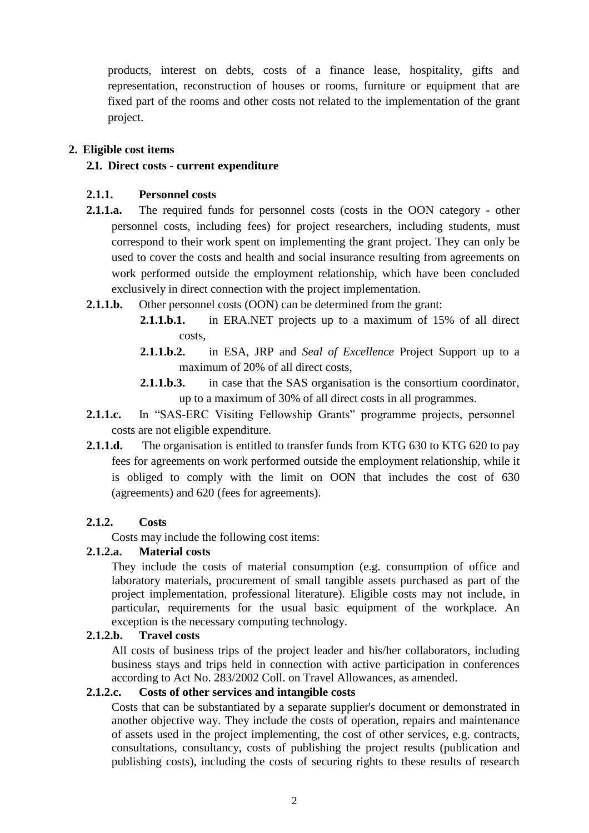products, interest on debts, costs of a finance lease, hospitality, gifts and representation, reconstruction of houses or rooms, furniture or equipment that are fixed part of the rooms and other costs not related to the implementation of the grant project.

### **2. Eligible cost items**

#### **2.1. Direct costs - current expenditure**

#### **2.1.1. Personnel costs**

- **2.1.1.a.** The required funds for personnel costs (costs in the OON category other personnel costs, including fees) for project researchers, including students, must correspond to their work spent on implementing the grant project. They can only be used to cover the costs and health and social insurance resulting from agreements on work performed outside the employment relationship, which have been concluded exclusively in direct connection with the project implementation.
- **2.1.1.b.** Other personnel costs (OON) can be determined from the grant:
	- **2.1.1.b.1.** in ERA.NET projects up to a maximum of 15% of all direct costs,
	- **2.1.1.b.2.** in ESA, JRP and *Seal of Excellence* Project Support up to a maximum of 20% of all direct costs,
	- **2.1.1.b.3.** in case that the SAS organisation is the consortium coordinator, up to a maximum of 30% of all direct costs in all programmes.
- **2.1.1.c.** In "SAS-ERC Visiting Fellowship Grants" programme projects, personnel costs are not eligible expenditure.
- **2.1.1.d.** The organisation is entitled to transfer funds from KTG 630 to KTG 620 to pay fees for agreements on work performed outside the employment relationship, while it is obliged to comply with the limit on OON that includes the cost of 630 (agreements) and 620 (fees for agreements).

# **2.1.2. Costs**

Costs may include the following cost items:

#### **2.1.2.a. Material costs**

They include the costs of material consumption (e.g. consumption of office and laboratory materials, procurement of small tangible assets purchased as part of the project implementation, professional literature). Eligible costs may not include, in particular, requirements for the usual basic equipment of the workplace. An exception is the necessary computing technology.

#### **2.1.2.b. Travel costs**

All costs of business trips of the project leader and his/her collaborators, including business stays and trips held in connection with active participation in conferences according to Act No. 283/2002 Coll. on Travel Allowances, as amended.

### **2.1.2.c. Costs of other services and intangible costs**

Costs that can be substantiated by a separate supplier's document or demonstrated in another objective way. They include the costs of operation, repairs and maintenance of assets used in the project implementing, the cost of other services, e.g. contracts, consultations, consultancy, costs of publishing the project results (publication and publishing costs), including the costs of securing rights to these results of research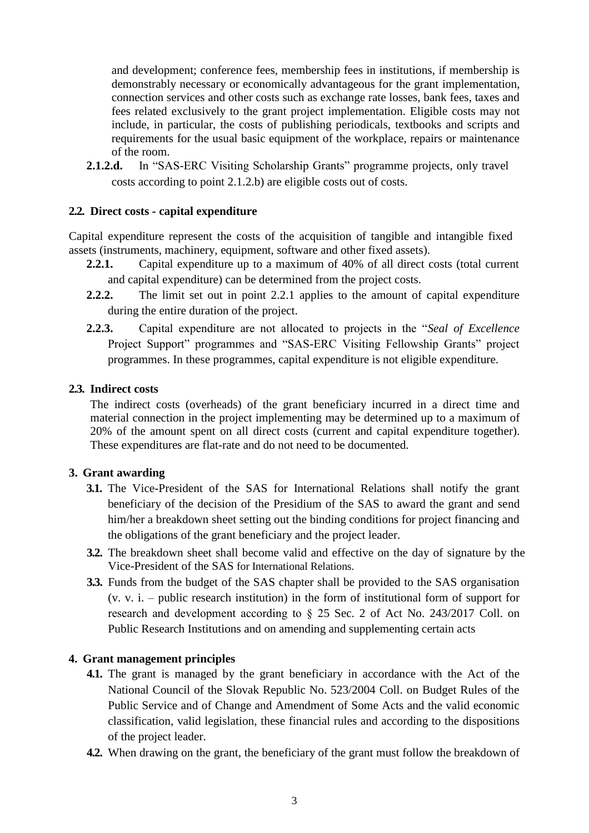and development; conference fees, membership fees in institutions, if membership is demonstrably necessary or economically advantageous for the grant implementation, connection services and other costs such as exchange rate losses, bank fees, taxes and fees related exclusively to the grant project implementation. Eligible costs may not include, in particular, the costs of publishing periodicals, textbooks and scripts and requirements for the usual basic equipment of the workplace, repairs or maintenance of the room.

**2.1.2.d.** In "SAS-ERC Visiting Scholarship Grants" programme projects, only travel costs according to point 2.1.2.b) are eligible costs out of costs.

### **2.2. Direct costs - capital expenditure**

Capital expenditure represent the costs of the acquisition of tangible and intangible fixed assets (instruments, machinery, equipment, software and other fixed assets).

- **2.2.1.** Capital expenditure up to a maximum of 40% of all direct costs (total current and capital expenditure) can be determined from the project costs.
- **2.2.2.** The limit set out in point 2.2.1 applies to the amount of capital expenditure during the entire duration of the project.
- **2.2.3.** Capital expenditure are not allocated to projects in the "*Seal of Excellence* Project Support" programmes and "SAS-ERC Visiting Fellowship Grants" project programmes. In these programmes, capital expenditure is not eligible expenditure.

### **2.3. Indirect costs**

The indirect costs (overheads) of the grant beneficiary incurred in a direct time and material connection in the project implementing may be determined up to a maximum of 20% of the amount spent on all direct costs (current and capital expenditure together). These expenditures are flat-rate and do not need to be documented.

# **3. Grant awarding**

- **3.1.** The Vice-President of the SAS for International Relations shall notify the grant beneficiary of the decision of the Presidium of the SAS to award the grant and send him/her a breakdown sheet setting out the binding conditions for project financing and the obligations of the grant beneficiary and the project leader.
- **3.2.** The breakdown sheet shall become valid and effective on the day of signature by the Vice-President of the SAS for International Relations.
- **3.3.** Funds from the budget of the SAS chapter shall be provided to the SAS organisation (v. v. i. – public research institution) in the form of institutional form of support for research and development according to § 25 Sec. 2 of Act No. 243/2017 Coll. on Public Research Institutions and on amending and supplementing certain acts

### **4. Grant management principles**

- **4.1.** The grant is managed by the grant beneficiary in accordance with the Act of the National Council of the Slovak Republic No. 523/2004 Coll. on Budget Rules of the Public Service and of Change and Amendment of Some Acts and the valid economic classification, valid legislation, these financial rules and according to the dispositions of the project leader.
- **4.2.** When drawing on the grant, the beneficiary of the grant must follow the breakdown of